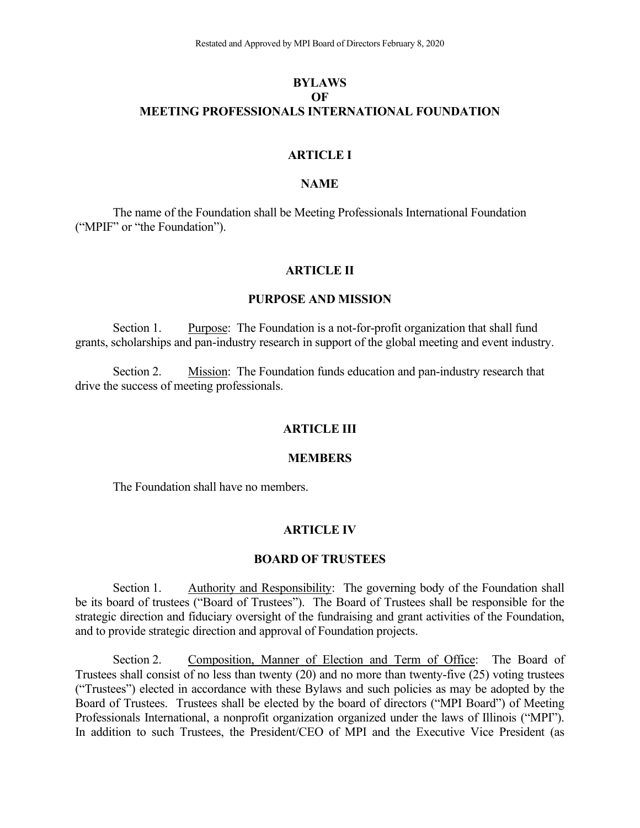# **BYLAWS OF MEETING PROFESSIONALS INTERNATIONAL FOUNDATION**

### **ARTICLE I**

# **NAME**

The name of the Foundation shall be Meeting Professionals International Foundation ("MPIF" or "the Foundation").

#### **ARTICLE II**

### **PURPOSE AND MISSION**

Section 1. Purpose: The Foundation is a not-for-profit organization that shall fund grants, scholarships and pan-industry research in support of the global meeting and event industry.

Section 2. Mission: The Foundation funds education and pan-industry research that drive the success of meeting professionals.

#### **ARTICLE III**

#### **MEMBERS**

The Foundation shall have no members.

#### **ARTICLE IV**

# **BOARD OF TRUSTEES**

Section 1. Authority and Responsibility: The governing body of the Foundation shall be its board of trustees ("Board of Trustees"). The Board of Trustees shall be responsible for the strategic direction and fiduciary oversight of the fundraising and grant activities of the Foundation, and to provide strategic direction and approval of Foundation projects.

Section 2. Composition, Manner of Election and Term of Office: The Board of Trustees shall consist of no less than twenty (20) and no more than twenty-five (25) voting trustees ("Trustees") elected in accordance with these Bylaws and such policies as may be adopted by the Board of Trustees. Trustees shall be elected by the board of directors ("MPI Board") of Meeting Professionals International, a nonprofit organization organized under the laws of Illinois ("MPI"). In addition to such Trustees, the President/CEO of MPI and the Executive Vice President (as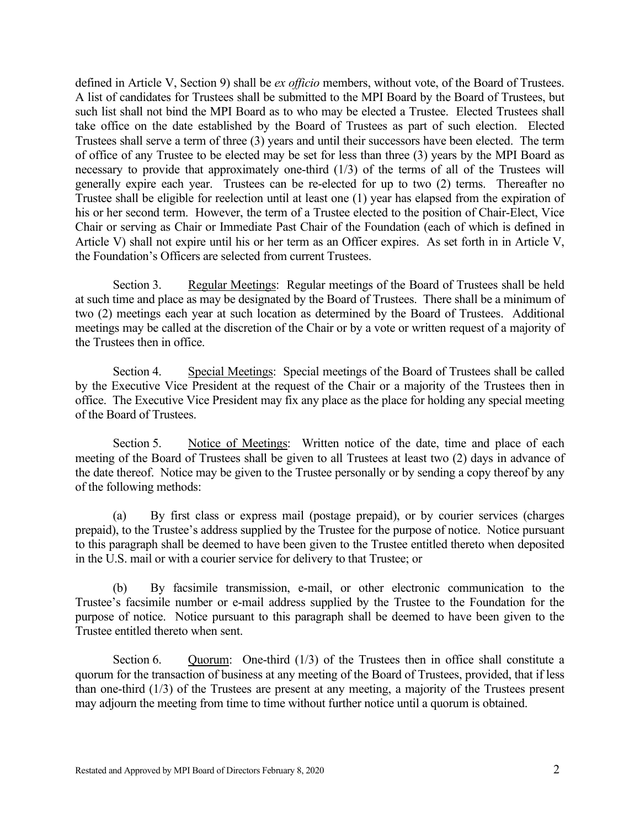defined in Article V, Section 9) shall be *ex officio* members, without vote, of the Board of Trustees. A list of candidates for Trustees shall be submitted to the MPI Board by the Board of Trustees, but such list shall not bind the MPI Board as to who may be elected a Trustee. Elected Trustees shall take office on the date established by the Board of Trustees as part of such election. Elected Trustees shall serve a term of three (3) years and until their successors have been elected. The term of office of any Trustee to be elected may be set for less than three (3) years by the MPI Board as necessary to provide that approximately one-third (1/3) of the terms of all of the Trustees will generally expire each year. Trustees can be re-elected for up to two (2) terms. Thereafter no Trustee shall be eligible for reelection until at least one (1) year has elapsed from the expiration of his or her second term. However, the term of a Trustee elected to the position of Chair-Elect, Vice Chair or serving as Chair or Immediate Past Chair of the Foundation (each of which is defined in Article V) shall not expire until his or her term as an Officer expires. As set forth in in Article V, the Foundation's Officers are selected from current Trustees.

Section 3. Regular Meetings: Regular meetings of the Board of Trustees shall be held at such time and place as may be designated by the Board of Trustees. There shall be a minimum of two (2) meetings each year at such location as determined by the Board of Trustees. Additional meetings may be called at the discretion of the Chair or by a vote or written request of a majority of the Trustees then in office.

Section 4. Special Meetings: Special meetings of the Board of Trustees shall be called by the Executive Vice President at the request of the Chair or a majority of the Trustees then in office. The Executive Vice President may fix any place as the place for holding any special meeting of the Board of Trustees.

Section 5. Notice of Meetings: Written notice of the date, time and place of each meeting of the Board of Trustees shall be given to all Trustees at least two (2) days in advance of the date thereof. Notice may be given to the Trustee personally or by sending a copy thereof by any of the following methods:

(a) By first class or express mail (postage prepaid), or by courier services (charges prepaid), to the Trustee's address supplied by the Trustee for the purpose of notice. Notice pursuant to this paragraph shall be deemed to have been given to the Trustee entitled thereto when deposited in the U.S. mail or with a courier service for delivery to that Trustee; or

(b) By facsimile transmission, e-mail, or other electronic communication to the Trustee's facsimile number or e-mail address supplied by the Trustee to the Foundation for the purpose of notice. Notice pursuant to this paragraph shall be deemed to have been given to the Trustee entitled thereto when sent.

Section 6. Quorum: One-third  $(1/3)$  of the Trustees then in office shall constitute a quorum for the transaction of business at any meeting of the Board of Trustees, provided, that if less than one-third (1/3) of the Trustees are present at any meeting, a majority of the Trustees present may adjourn the meeting from time to time without further notice until a quorum is obtained.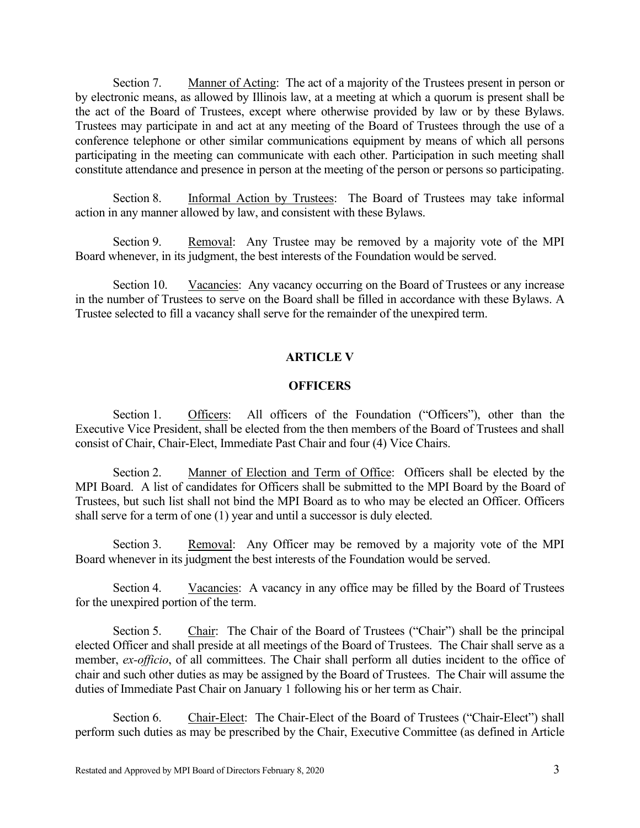Section 7. Manner of Acting: The act of a majority of the Trustees present in person or by electronic means, as allowed by Illinois law, at a meeting at which a quorum is present shall be the act of the Board of Trustees, except where otherwise provided by law or by these Bylaws. Trustees may participate in and act at any meeting of the Board of Trustees through the use of a conference telephone or other similar communications equipment by means of which all persons participating in the meeting can communicate with each other. Participation in such meeting shall constitute attendance and presence in person at the meeting of the person or persons so participating.

Section 8. Informal Action by Trustees: The Board of Trustees may take informal action in any manner allowed by law, and consistent with these Bylaws.

Section 9. Removal: Any Trustee may be removed by a majority vote of the MPI Board whenever, in its judgment, the best interests of the Foundation would be served.

Section 10. Vacancies: Any vacancy occurring on the Board of Trustees or any increase in the number of Trustees to serve on the Board shall be filled in accordance with these Bylaws. A Trustee selected to fill a vacancy shall serve for the remainder of the unexpired term.

## **ARTICLE V**

# **OFFICERS**

Section 1. Officers: All officers of the Foundation ("Officers"), other than the Executive Vice President, shall be elected from the then members of the Board of Trustees and shall consist of Chair, Chair-Elect, Immediate Past Chair and four (4) Vice Chairs.

Section 2. Manner of Election and Term of Office: Officers shall be elected by the MPI Board. A list of candidates for Officers shall be submitted to the MPI Board by the Board of Trustees, but such list shall not bind the MPI Board as to who may be elected an Officer. Officers shall serve for a term of one (1) year and until a successor is duly elected.

Section 3. Removal: Any Officer may be removed by a majority vote of the MPI Board whenever in its judgment the best interests of the Foundation would be served.

Section 4. Vacancies: A vacancy in any office may be filled by the Board of Trustees for the unexpired portion of the term.

Section 5. Chair: The Chair of the Board of Trustees ("Chair") shall be the principal elected Officer and shall preside at all meetings of the Board of Trustees. The Chair shall serve as a member, *ex-officio*, of all committees. The Chair shall perform all duties incident to the office of chair and such other duties as may be assigned by the Board of Trustees. The Chair will assume the duties of Immediate Past Chair on January 1 following his or her term as Chair.

Section 6. Chair-Elect: The Chair-Elect of the Board of Trustees ("Chair-Elect") shall perform such duties as may be prescribed by the Chair, Executive Committee (as defined in Article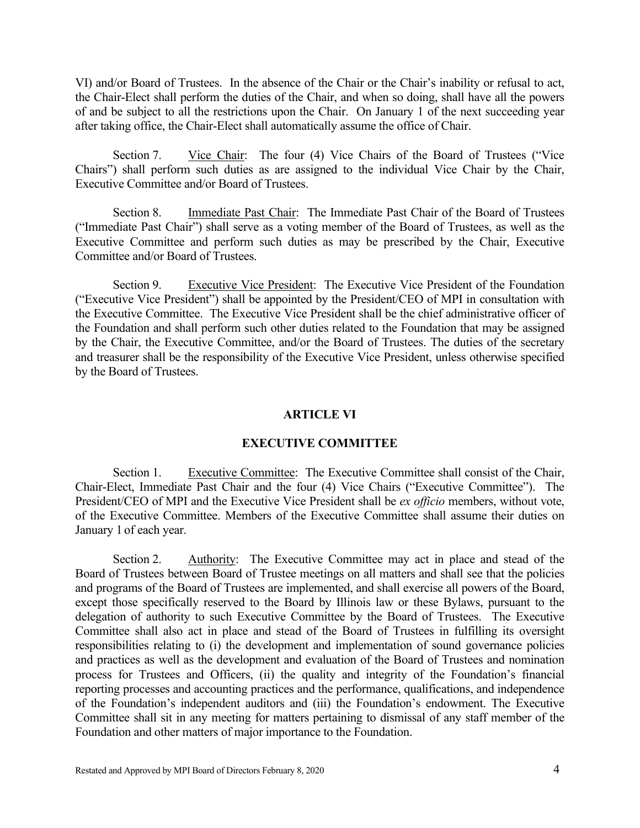VI) and/or Board of Trustees. In the absence of the Chair or the Chair's inability or refusal to act, the Chair-Elect shall perform the duties of the Chair, and when so doing, shall have all the powers of and be subject to all the restrictions upon the Chair. On January 1 of the next succeeding year after taking office, the Chair-Elect shall automatically assume the office of Chair.

Section 7. Vice Chair: The four (4) Vice Chairs of the Board of Trustees ("Vice Chairs") shall perform such duties as are assigned to the individual Vice Chair by the Chair, Executive Committee and/or Board of Trustees.

Section 8. Immediate Past Chair: The Immediate Past Chair of the Board of Trustees ("Immediate Past Chair") shall serve as a voting member of the Board of Trustees, as well as the Executive Committee and perform such duties as may be prescribed by the Chair, Executive Committee and/or Board of Trustees.

Section 9. Executive Vice President: The Executive Vice President of the Foundation ("Executive Vice President") shall be appointed by the President/CEO of MPI in consultation with the Executive Committee. The Executive Vice President shall be the chief administrative officer of the Foundation and shall perform such other duties related to the Foundation that may be assigned by the Chair, the Executive Committee, and/or the Board of Trustees. The duties of the secretary and treasurer shall be the responsibility of the Executive Vice President, unless otherwise specified by the Board of Trustees.

#### **ARTICLE VI**

### **EXECUTIVE COMMITTEE**

Section 1. Executive Committee: The Executive Committee shall consist of the Chair, Chair-Elect, Immediate Past Chair and the four (4) Vice Chairs ("Executive Committee"). The President/CEO of MPI and the Executive Vice President shall be *ex officio* members, without vote, of the Executive Committee. Members of the Executive Committee shall assume their duties on January 1 of each year.

Section 2. Authority: The Executive Committee may act in place and stead of the Board of Trustees between Board of Trustee meetings on all matters and shall see that the policies and programs of the Board of Trustees are implemented, and shall exercise all powers of the Board, except those specifically reserved to the Board by Illinois law or these Bylaws, pursuant to the delegation of authority to such Executive Committee by the Board of Trustees. The Executive Committee shall also act in place and stead of the Board of Trustees in fulfilling its oversight responsibilities relating to (i) the development and implementation of sound governance policies and practices as well as the development and evaluation of the Board of Trustees and nomination process for Trustees and Officers, (ii) the quality and integrity of the Foundation's financial reporting processes and accounting practices and the performance, qualifications, and independence of the Foundation's independent auditors and (iii) the Foundation's endowment. The Executive Committee shall sit in any meeting for matters pertaining to dismissal of any staff member of the Foundation and other matters of major importance to the Foundation.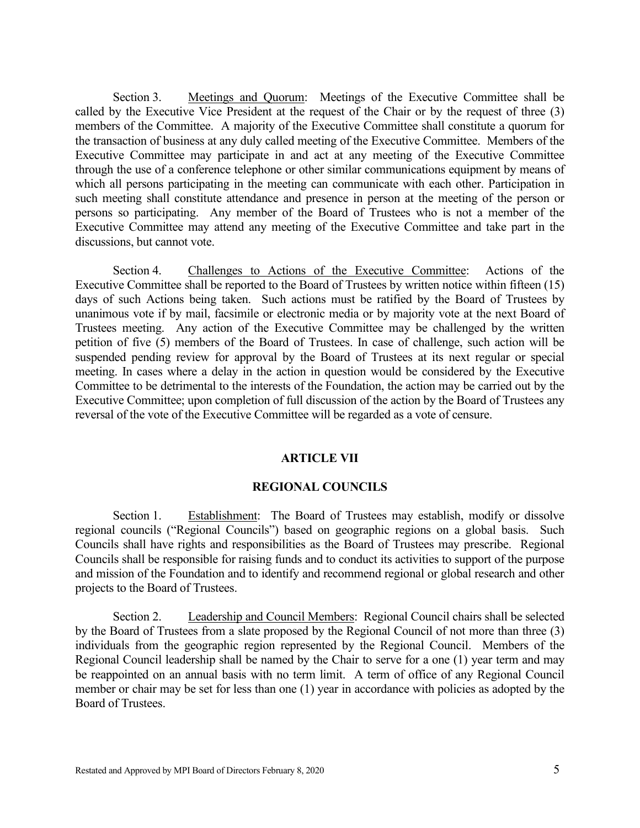Section 3. Meetings and Quorum: Meetings of the Executive Committee shall be called by the Executive Vice President at the request of the Chair or by the request of three (3) members of the Committee. A majority of the Executive Committee shall constitute a quorum for the transaction of business at any duly called meeting of the Executive Committee. Members of the Executive Committee may participate in and act at any meeting of the Executive Committee through the use of a conference telephone or other similar communications equipment by means of which all persons participating in the meeting can communicate with each other. Participation in such meeting shall constitute attendance and presence in person at the meeting of the person or persons so participating. Any member of the Board of Trustees who is not a member of the Executive Committee may attend any meeting of the Executive Committee and take part in the discussions, but cannot vote.

Section 4. Challenges to Actions of the Executive Committee: Actions of the Executive Committee shall be reported to the Board of Trustees by written notice within fifteen (15) days of such Actions being taken. Such actions must be ratified by the Board of Trustees by unanimous vote if by mail, facsimile or electronic media or by majority vote at the next Board of Trustees meeting. Any action of the Executive Committee may be challenged by the written petition of five (5) members of the Board of Trustees. In case of challenge, such action will be suspended pending review for approval by the Board of Trustees at its next regular or special meeting. In cases where a delay in the action in question would be considered by the Executive Committee to be detrimental to the interests of the Foundation, the action may be carried out by the Executive Committee; upon completion of full discussion of the action by the Board of Trustees any reversal of the vote of the Executive Committee will be regarded as a vote of censure.

### **ARTICLE VII**

### **REGIONAL COUNCILS**

Section 1. Establishment: The Board of Trustees may establish, modify or dissolve regional councils ("Regional Councils") based on geographic regions on a global basis. Such Councils shall have rights and responsibilities as the Board of Trustees may prescribe. Regional Councils shall be responsible for raising funds and to conduct its activities to support of the purpose and mission of the Foundation and to identify and recommend regional or global research and other projects to the Board of Trustees.

Section 2. Leadership and Council Members: Regional Council chairs shall be selected by the Board of Trustees from a slate proposed by the Regional Council of not more than three (3) individuals from the geographic region represented by the Regional Council. Members of the Regional Council leadership shall be named by the Chair to serve for a one (1) year term and may be reappointed on an annual basis with no term limit. A term of office of any Regional Council member or chair may be set for less than one (1) year in accordance with policies as adopted by the Board of Trustees.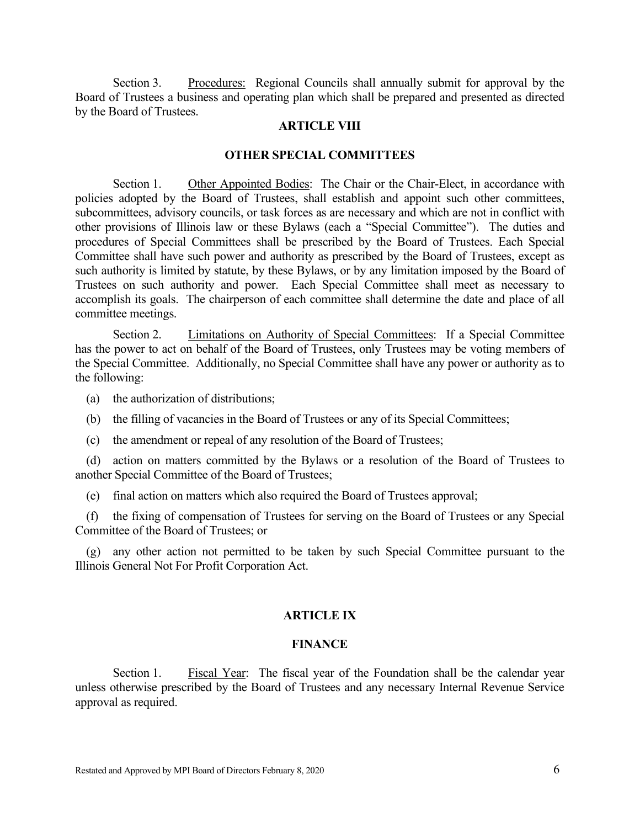Section 3. Procedures: Regional Councils shall annually submit for approval by the Board of Trustees a business and operating plan which shall be prepared and presented as directed by the Board of Trustees.

### **ARTICLE VIII**

#### **OTHER SPECIAL COMMITTEES**

Section 1. Other Appointed Bodies: The Chair or the Chair-Elect, in accordance with policies adopted by the Board of Trustees, shall establish and appoint such other committees, subcommittees, advisory councils, or task forces as are necessary and which are not in conflict with other provisions of Illinois law or these Bylaws (each a "Special Committee"). The duties and procedures of Special Committees shall be prescribed by the Board of Trustees. Each Special Committee shall have such power and authority as prescribed by the Board of Trustees, except as such authority is limited by statute, by these Bylaws, or by any limitation imposed by the Board of Trustees on such authority and power. Each Special Committee shall meet as necessary to accomplish its goals. The chairperson of each committee shall determine the date and place of all committee meetings.

Section 2. Limitations on Authority of Special Committees: If a Special Committee has the power to act on behalf of the Board of Trustees, only Trustees may be voting members of the Special Committee. Additionally, no Special Committee shall have any power or authority as to the following:

(a) the authorization of distributions;

- (b) the filling of vacancies in the Board of Trustees or any of its Special Committees;
- (c) the amendment or repeal of any resolution of the Board of Trustees;

(d) action on matters committed by the Bylaws or a resolution of the Board of Trustees to another Special Committee of the Board of Trustees;

(e) final action on matters which also required the Board of Trustees approval;

(f) the fixing of compensation of Trustees for serving on the Board of Trustees or any Special Committee of the Board of Trustees; or

(g) any other action not permitted to be taken by such Special Committee pursuant to the Illinois General Not For Profit Corporation Act.

# **ARTICLE IX**

#### **FINANCE**

Section 1. Fiscal Year: The fiscal year of the Foundation shall be the calendar year unless otherwise prescribed by the Board of Trustees and any necessary Internal Revenue Service approval as required.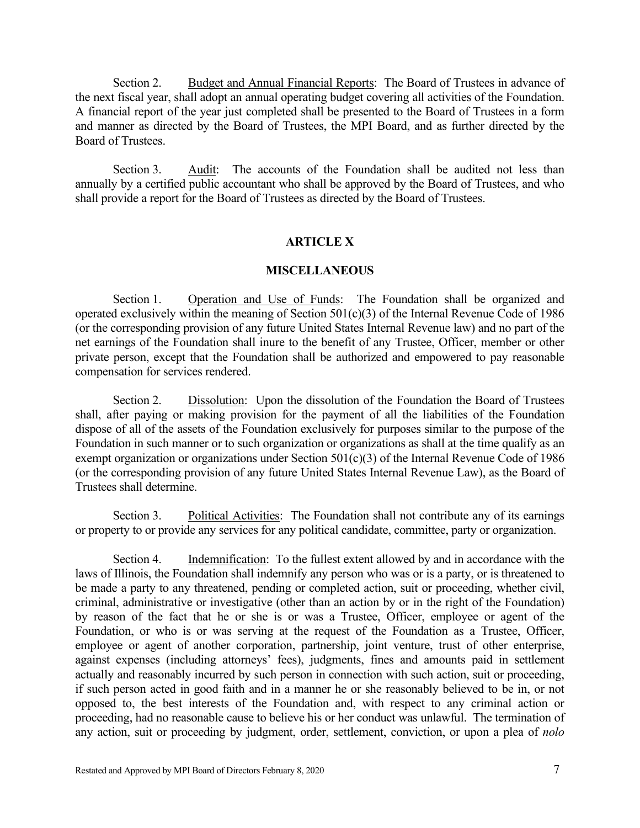Section 2. Budget and Annual Financial Reports: The Board of Trustees in advance of the next fiscal year, shall adopt an annual operating budget covering all activities of the Foundation. A financial report of the year just completed shall be presented to the Board of Trustees in a form and manner as directed by the Board of Trustees, the MPI Board, and as further directed by the Board of Trustees.

Section 3. Audit: The accounts of the Foundation shall be audited not less than annually by a certified public accountant who shall be approved by the Board of Trustees, and who shall provide a report for the Board of Trustees as directed by the Board of Trustees.

## **ARTICLE X**

### **MISCELLANEOUS**

Section 1. Operation and Use of Funds: The Foundation shall be organized and operated exclusively within the meaning of Section 501(c)(3) of the Internal Revenue Code of 1986 (or the corresponding provision of any future United States Internal Revenue law) and no part of the net earnings of the Foundation shall inure to the benefit of any Trustee, Officer, member or other private person, except that the Foundation shall be authorized and empowered to pay reasonable compensation for services rendered.

Section 2. Dissolution: Upon the dissolution of the Foundation the Board of Trustees shall, after paying or making provision for the payment of all the liabilities of the Foundation dispose of all of the assets of the Foundation exclusively for purposes similar to the purpose of the Foundation in such manner or to such organization or organizations as shall at the time qualify as an exempt organization or organizations under Section 501(c)(3) of the Internal Revenue Code of 1986 (or the corresponding provision of any future United States Internal Revenue Law), as the Board of Trustees shall determine.

Section 3. Political Activities: The Foundation shall not contribute any of its earnings or property to or provide any services for any political candidate, committee, party or organization.

Section 4. Indemnification: To the fullest extent allowed by and in accordance with the laws of Illinois, the Foundation shall indemnify any person who was or is a party, or is threatened to be made a party to any threatened, pending or completed action, suit or proceeding, whether civil, criminal, administrative or investigative (other than an action by or in the right of the Foundation) by reason of the fact that he or she is or was a Trustee, Officer, employee or agent of the Foundation, or who is or was serving at the request of the Foundation as a Trustee, Officer, employee or agent of another corporation, partnership, joint venture, trust of other enterprise, against expenses (including attorneys' fees), judgments, fines and amounts paid in settlement actually and reasonably incurred by such person in connection with such action, suit or proceeding, if such person acted in good faith and in a manner he or she reasonably believed to be in, or not opposed to, the best interests of the Foundation and, with respect to any criminal action or proceeding, had no reasonable cause to believe his or her conduct was unlawful. The termination of any action, suit or proceeding by judgment, order, settlement, conviction, or upon a plea of *nolo*